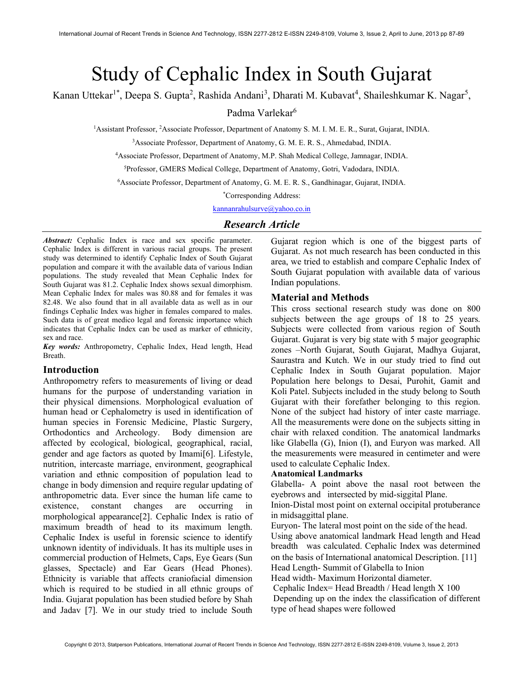# Study of Cephalic Index in South Gujarat

Kanan Uttekar<sup>1\*</sup>, Deepa S. Gupta<sup>2</sup>, Rashida Andani<sup>3</sup>, Dharati M. Kubavat<sup>4</sup>, Shaileshkumar K. Nagar<sup>5</sup>,

Padma Varlekar<sup>6</sup>

<sup>1</sup>Assistant Professor, <sup>2</sup>Associate Professor, Department of Anatomy S. M. I. M. E. R., Surat, Gujarat, INDIA.

<sup>3</sup>Associate Professor, Department of Anatomy, G. M. E. R. S., Ahmedabad, INDIA.

<sup>4</sup>Associate Professor, Department of Anatomy, M.P. Shah Medical College, Jamnagar, INDIA.

<sup>5</sup>Professor, GMERS Medical College, Department of Anatomy, Gotri, Vadodara, INDIA.

<sup>6</sup>Associate Professor, Department of Anatomy, G. M. E. R. S., Gandhinagar, Gujarat, INDIA.

\*Corresponding Address:

kannanrahulsurve@yahoo.co.in

## Research Article

Abstract: Cephalic Index is race and sex specific parameter. Cephalic Index is different in various racial groups. The present study was determined to identify Cephalic Index of South Gujarat population and compare it with the available data of various Indian populations. The study revealed that Mean Cephalic Index for South Gujarat was 81.2. Cephalic Index shows sexual dimorphism. Mean Cephalic Index for males was 80.88 and for females it was 82.48. We also found that in all available data as well as in our findings Cephalic Index was higher in females compared to males. Such data is of great medico legal and forensic importance which indicates that Cephalic Index can be used as marker of ethnicity, sex and race.

Key words: Anthropometry, Cephalic Index, Head length, Head Breath.

### Introduction

Anthropometry refers to measurements of living or dead humans for the purpose of understanding variation in their physical dimensions. Morphological evaluation of human head or Cephalometry is used in identification of human species in Forensic Medicine, Plastic Surgery, Orthodontics and Archeology. Body dimension are affected by ecological, biological, geographical, racial, gender and age factors as quoted by Imami<sup>[6]</sup>. Lifestyle, nutrition, intercaste marriage, environment, geographical variation and ethnic composition of population lead to change in body dimension and require regular updating of anthropometric data. Ever since the human life came to existence, constant changes are occurring in morphological appearance<sup>[2]</sup>. Cephalic Index is ratio of maximum breadth of head to its maximum length. Cephalic Index is useful in forensic science to identify unknown identity of individuals. It has its multiple uses in commercial production of Helmets, Caps, Eye Gears (Sun glasses, Spectacle) and Ear Gears (Head Phones). Ethnicity is variable that affects craniofacial dimension which is required to be studied in all ethnic groups of India. Gujarat population has been studied before by Shah and Jadav [7]. We in our study tried to include South

Gujarat region which is one of the biggest parts of Gujarat. As not much research has been conducted in this area, we tried to establish and compare Cephalic Index of South Gujarat population with available data of various Indian populations.

#### Material and Methods

This cross sectional research study was done on 800 subjects between the age groups of 18 to 25 years. Subjects were collected from various region of South Gujarat. Gujarat is very big state with 5 major geographic zones –North Gujarat, South Gujarat, Madhya Gujarat, Saurastra and Kutch. We in our study tried to find out Cephalic Index in South Gujarat population. Major Population here belongs to Desai, Purohit, Gamit and Koli Patel. Subjects included in the study belong to South Gujarat with their forefather belonging to this region. None of the subject had history of inter caste marriage. All the measurements were done on the subjects sitting in chair with relaxed condition. The anatomical landmarks like Glabella (G), Inion (I), and Euryon was marked. All the measurements were measured in centimeter and were used to calculate Cephalic Index.

### Anatomical Landmarks

Glabella- A point above the nasal root between the eyebrows and intersected by mid-siggital Plane.

Inion-Distal most point on external occipital protuberance in midsaggittal plane.

Euryon- The lateral most point on the side of the head. Using above anatomical landmark Head length and Head breadth was calculated. Cephalic Index was determined on the basis of International anatomical Description. [11] Head Length- Summit of Glabella to Inion

Head width- Maximum Horizontal diameter.

 Cephalic Index= Head Breadth / Head length X 100 Depending up on the index the classification of different type of head shapes were followed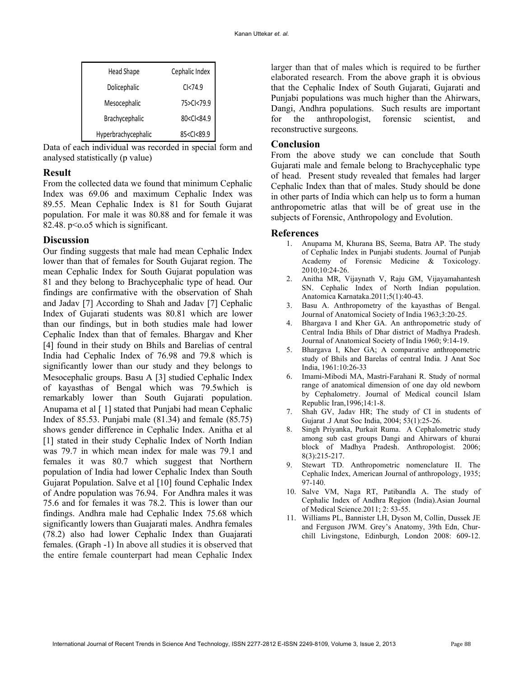| Head Shape          | Cephalic Index                           |   |
|---------------------|------------------------------------------|---|
| Dolicephalic        | C <sub>74.9</sub>                        |   |
| Mesocephalic        | 75>Cl<79.9                               |   |
| Brachycephalic      | 80 <cl<84.9< td=""><td></td></cl<84.9<>  |   |
| Hyperbrachycephalic | 85 <cl<89.9< td=""><td>ľ</td></cl<89.9<> | ľ |

Data of each individual was recorded in special form and analysed statistically (p value)

### Result

From the collected data we found that minimum Cephalic Index was 69.06 and maximum Cephalic Index was 89.55. Mean Cephalic Index is 81 for South Gujarat population. For male it was 80.88 and for female it was 82.48. p<o.o5 which is significant.

## **Discussion**

Our finding suggests that male had mean Cephalic Index lower than that of females for South Gujarat region. The mean Cephalic Index for South Gujarat population was 81 and they belong to Brachycephalic type of head. Our findings are confirmative with the observation of Shah and Jadav [7] According to Shah and Jadav [7] Cephalic Index of Gujarati students was 80.81 which are lower than our findings, but in both studies male had lower Cephalic Index than that of females. Bhargav and Kher [4] found in their study on Bhils and Barelias of central India had Cephalic Index of 76.98 and 79.8 which is significantly lower than our study and they belongs to Mesocephalic groups. Basu A [3] studied Cephalic Index of kayasthas of Bengal which was 79.5which is remarkably lower than South Gujarati population. Anupama et al [1] stated that Punjabi had mean Cephalic Index of 85.53. Punjabi male  $(81.34)$  and female  $(85.75)$ shows gender difference in Cephalic Index. Anitha et al [1] stated in their study Cephalic Index of North Indian was 79.7 in which mean index for male was 79.1 and females it was 80.7 which suggest that Northern population of India had lower Cephalic Index than South Gujarat Population. Salve et al [10] found Cephalic Index of Andre population was 76.94. For Andhra males it was 75.6 and for females it was 78.2. This is lower than our findings. Andhra male had Cephalic Index 75.68 which significantly lowers than Guajarati males. Andhra females (78.2) also had lower Cephalic Index than Guajarati females. (Graph -1) In above all studies it is observed that the entire female counterpart had mean Cephalic Index

larger than that of males which is required to be further elaborated research. From the above graph it is obvious Dolicephalic CI<74.9 CCOCO CONTACT CHATA CHATA CHATACH CHATACH CONTROLLERGE CONTRACT CONTRACT CONTRACT CONTRACT CONTRACT CONTRACT CONTRACT CONTRACT CONTRACT CONTRACT CONTRACT CONTRACT CONTRACT CONTRACT CONTRACT CONTRACT CO Punjabi populations was much higher than the Ahirwars, Mesocephalic 75>Cl<79.9 <br>
Dangi, Andhra populations. Such results are important Brachycephalic and 80<CI<84.9 and 80 for the anthropologist, forensic scientist, and reconstructive surgeons.

#### Conclusion

From the above study we can conclude that South Gujarati male and female belong to Brachycephalic type of head. Present study revealed that females had larger Cephalic Index than that of males. Study should be done in other parts of India which can help us to form a human anthropometric atlas that will be of great use in the subjects of Forensic, Anthropology and Evolution.

#### References

- 1. Anupama M, Khurana BS, Seema, Batra AP. The study of Cephalic Index in Punjabi students. Journal of Punjab Academy of Forensic Medicine & Toxicology. 2010;10:24-26.
- 2. Anitha MR, Vijaynath V, Raju GM, Vijayamahantesh SN. Cephalic Index of North Indian population. Anatomica Karnataka.2011;5(1):40-43.
- 3. Basu A. Anthropometry of the kayasthas of Bengal. Journal of Anatomical Society of India 1963;3:20-25.
- 4. Bhargava I and Kher GA. An anthropometric study of Central India Bhils of Dhar district of Madhya Pradesh. Journal of Anatomical Society of India 1960; 9:14-19.
- 5. Bhargava I, Kher GA; A comparative anthropometric study of Bhils and Barelas of central India. J Anat Soc India, 1961:10:26-33
- 6. Imami-Mibodi MA, Mastri-Farahani R. Study of normal range of anatomical dimension of one day old newborn by Cephalometry. Journal of Medical council Islam Republic Iran,1996;14:1-8.
- 7. Shah GV, Jadav HR; The study of CI in students of Gujarat .J Anat Soc India, 2004; 53(1):25-26.
- 8. Singh Priyanka, Purkait Ruma. A Cephalometric study among sub cast groups Dangi and Ahirwars of khurai block of Madhya Pradesh. Anthropologist. 2006; 8(3):215-217.
- 9. Stewart TD. Anthropometric nomenclature II. The Cephalic Index, American Journal of anthropology, 1935; 97-140.
- 10. Salve VM, Naga RT, Patibandla A. The study of Cephalic Index of Andhra Region (India).Asian Journal of Medical Science.2011; 2: 53-55.
- 11. Williams PL, Bannister LH, Dyson M, Collin, Dussek JE and Ferguson JWM. Grey's Anatomy, 39th Edn, Churchill Livingstone, Edinburgh, London 2008: 609-12.